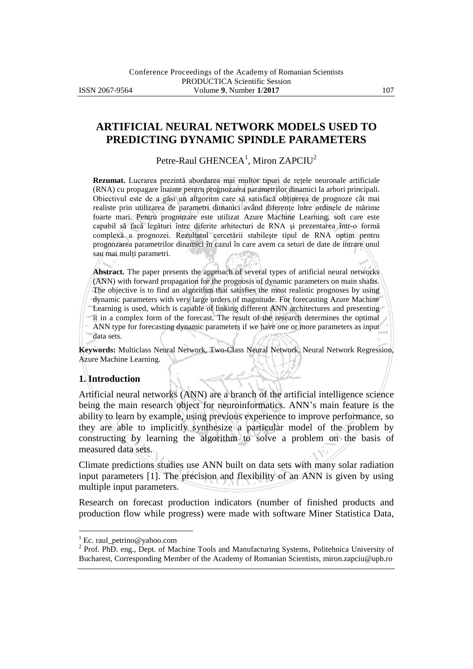# **ARTIFICIAL NEURAL NETWORK MODELS USED TO PREDICTING DYNAMIC SPINDLE PARAMETERS**

Petre-Raul GHENCEA<sup>1</sup>, Miron ZAPCIU<sup>2</sup>

**Rezumat.** Lucrarea prezintă abordarea mai multor tipuri de rețele neuronale artificiale (RNA) cu propagare înainte pentru prognozarea parametrilor dinamici la arbori principali. Obiectivul este de a găsi un altgoritm care să satisfacă obţinerea de prognoze cât mai realiste prin utilizarea de parametri dimanici având diferențe între ordinele de mărime foarte mari. Pentru prognozare este utilizat Azure Machine Learning, soft care este capabil să facă legături între diferite arhitecturi de RNA şi prezentarea într-o formă complexă a prognozei. Rezultatul cercetării stabileşte tipul de RNA optim pentru prognozarea parametrilor dinamici în cazul în care avem ca seturi de date de intrare unul sau mai multi parametri.

**Abstract.** The paper presents the approach of several types of artificial neural networks (ANN) with forward propagation for the prognosis of dynamic parameters on main shafts. The objective is to find an algorithm that satisfies the most realistic prognoses by using dynamic parameters with very large orders of magnitude. For forecasting Azure Machine Learning is used, which is capable of linking different ANN architectures and presenting it in a complex form of the forecast. The result of the research determines the optimal ANN type for forecasting dynamic parameters if we have one or more parameters as input data sets.

**Keywords:** Multiclass Neural Network, Two-Class Neural Network, Neural Network Regression, Azure Machine Learning.

## **1. Introduction**

Artificial neural networks (ANN) are a branch of the artificial intelligence science being the main research object for neuroinformatics. ANN's main feature is the ability to learn by example, using previous experience to improve performance, so they are able to implicitly synthesize a particular model of the problem by constructing by learning the algorithm to solve a problem on the basis of measured data sets.

Climate predictions studies use ANN built on data sets with many solar radiation input parameters [1]. The precision and flexibility of an ANN is given by using multiple input parameters.

Research on forecast production indicators (number of finished products and production flow while progress) were made with software Miner Statistica Data,

 $\overline{a}$ 

 $1$  Ec. raul\_petrino@yahoo.com

<sup>&</sup>lt;sup>2</sup> Prof. PhD. eng., Dept. of Machine Tools and Manufacturing Systems, Politehnica University of Bucharest, Corresponding Member of the Academy of Romanian Scientists, miron.zapciu@upb.ro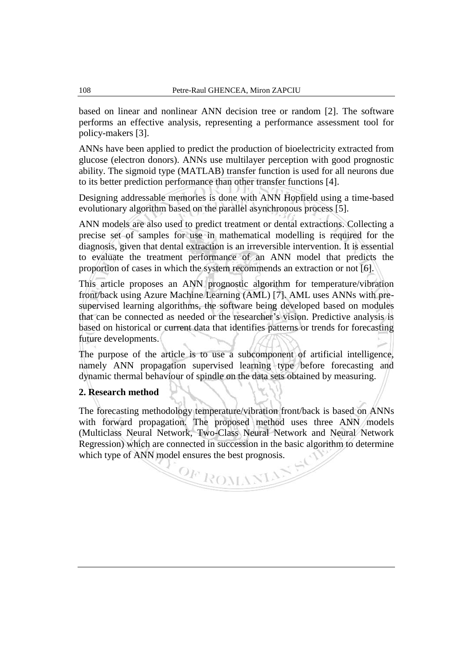based on linear and nonlinear ANN decision tree or random [2]. The software performs an effective analysis, representing a performance assessment tool for policy-makers [3].

ANNs have been applied to predict the production of bioelectricity extracted from glucose (electron donors). ANNs use multilayer perception with good prognostic ability. The sigmoid type (MATLAB) transfer function is used for all neurons due to its better prediction performance than other transfer functions [4].

Designing addressable memories is done with ANN Hopfield using a time-based evolutionary algorithm based on the parallel asynchronous process [5].

ANN models are also used to predict treatment or dental extractions. Collecting a precise set of samples for use in mathematical modelling is required for the diagnosis, given that dental extraction is an irreversible intervention. It is essential to evaluate the treatment performance of an ANN model that predicts the proportion of cases in which the system recommends an extraction or not [6].

This article proposes an ANN prognostic algorithm for temperature/vibration front/back using Azure Machine Learning (AML) [7]. AML uses ANNs with presupervised learning algorithms, the software being developed based on modules that can be connected as needed or the researcher's vision. Predictive analysis is based on historical or current data that identifies patterns or trends for forecasting future developments.

The purpose of the article is to use a subcomponent of artificial intelligence, namely ANN propagation supervised learning type before forecasting and dynamic thermal behaviour of spindle on the data sets obtained by measuring.

# **2. Research method**

The forecasting methodology temperature/vibration front/back is based on ANNs with forward propagation. The proposed method uses three ANN models (Multiclass Neural Network, Two-Class Neural Network and Neural Network Regression) which are connected in succession in the basic algorithm to determine which type of ANN model ensures the best prognosis.

OF ROMANI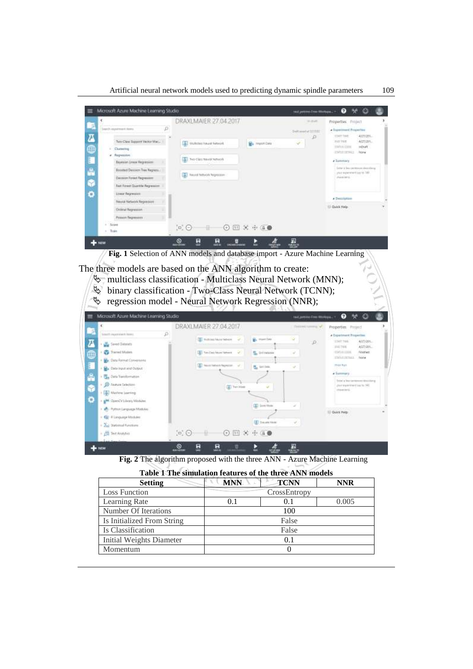Artificial neural network models used to predicting dynamic spindle parameters 109



The three models are based on the ANN algorithm to create:

- $\%$  multiclass classification Multiclass Neural Network (MNN);
- binary classification Two-Class Neural Network (TCNN);
- $\%$  regression model Neural Network Regression (NNR);

| Microsoft Azure Machine Learning Studio                                                                                                                                                                                                                                                                                                                                                                                                            |                                                                                                                                                                                                                                                                                                                 | $\bullet$<br>鲈<br>o<br>test petron free Workspa., =                                                                                                                                                                                                                                                                                                                                                                                 |  |  |
|----------------------------------------------------------------------------------------------------------------------------------------------------------------------------------------------------------------------------------------------------------------------------------------------------------------------------------------------------------------------------------------------------------------------------------------------------|-----------------------------------------------------------------------------------------------------------------------------------------------------------------------------------------------------------------------------------------------------------------------------------------------------------------|-------------------------------------------------------------------------------------------------------------------------------------------------------------------------------------------------------------------------------------------------------------------------------------------------------------------------------------------------------------------------------------------------------------------------------------|--|--|
| 437<br>P<br>Search importance have:<br>$\overline{a}$<br><b>The Second Distances</b><br>$\circledcirc$<br>Tracred Maden<br>Dr. Data Format Conversions<br>E<br><b>B.</b> Data traut and Output:<br><b>SO 000</b><br>C. Data franchismann<br><b><i>C Texas Selection</i></b><br><b>A</b> Mattew Jawring<br>MA QuerCy Likean/Modules<br>Portion Language Modules<br>· GP # Language Idocules:<br>· Zel Statistical Functions<br>· Cit Test Analytics | DRAXLMAIER 27.04.2017<br><b>CEL</b> mutroschiuse historic<br>E. Import Data<br>$\sim$<br><b>CET</b> Tom Class Second Meteorol<br>W.<br><b>R.</b> Drivelson<br>L-1-<br>All Neist labics Repeater. U.<br><b>M.</b> German<br>(g) Ten Hom<br><b>IX</b> Izon Moto<br>(A) dynamitize<br>$\Xi$ $\Theta$<br>田米市信息<br>표 | <b><i><u>GEORGIANISTS</u></i></b><br>Properties: Project<br>4 Experiment Properties<br>۷<br>LOART TIME<br>4/27/201.<br>$\mathcal{L}$<br>A/27/201.<br>alves Twee<br><b>EDITIONER</b><br><b>Finance</b><br>$\overline{\phantom{a}}$<br>EDIVERSIAL Note<br><b>PEGERAL</b><br>÷<br>a Summary<br>Exter a lear carriers on discribing.<br>(her experiment just to NC<br><b>Phone In G.</b><br>$\sim$<br>11 Quick Help:<br>1042 STOP<br>v. |  |  |
| <b>AEW</b>                                                                                                                                                                                                                                                                                                                                                                                                                                         | 툐<br>툐<br>$^{\circ}$<br>Þ<br>π<br>÷.<br><b>RINGEROOM</b>                                                                                                                                                                                                                                                        | 圜<br><b>TEST</b>                                                                                                                                                                                                                                                                                                                                                                                                                    |  |  |

**Fig. 2** The algorithm proposed with the three ANN - Azure Machine Learning

| <b>Setting</b>             | <b>MNN</b> | <b>TCNN</b>  | <b>NNR</b> |
|----------------------------|------------|--------------|------------|
| <b>Loss Function</b>       |            | CrossEntropy |            |
| Learning Rate              | 0.1        | 0.1          | 0.005      |
| Number Of Iterations       | 100        |              |            |
| Is Initialized From String | False      |              |            |
| Is Classification          |            | False        |            |
| Initial Weights Diameter   | 0.1        |              |            |
| Momentum                   |            |              |            |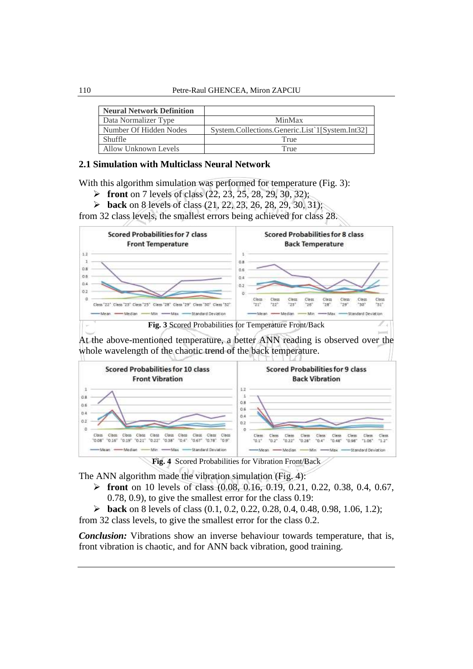| <b>Neural Network Definition</b> |                                                 |
|----------------------------------|-------------------------------------------------|
| Data Normalizer Type             | MinMax                                          |
| Number Of Hidden Nodes           | System.Collections.Generic.List`1[System.Int32] |
| <b>Shuffle</b>                   | True                                            |
| Allow Unknown Levels             | True                                            |

# **2.1 Simulation with Multiclass Neural Network**

With this algorithm simulation was performed for temperature (Fig. 3):

- **front** on 7 levels of class (22, 23, 25, 28, 29, 30, 32);
- **back** on 8 levels of class (21, 22, 23, 26, 28, 29, 30, 31);

from 32 class levels, the smallest errors being achieved for class 28.



At the above-mentioned temperature, a better ANN reading is observed over the whole wavelength of the chaotic trend of the back temperature.



**Fig. 4** Scored Probabilities for Vibration Front/Back

The ANN algorithm made the vibration simulation (Fig. 4):

 **front** on 10 levels of class (0.08, 0.16, 0.19, 0.21, 0.22, 0.38, 0.4, 0.67, 0.78, 0.9), to give the smallest error for the class 0.19:

 **back** on 8 levels of class (0.1, 0.2, 0.22, 0.28, 0.4, 0.48, 0.98, 1.06, 1.2); from 32 class levels, to give the smallest error for the class 0.2.

*Conclusion:* Vibrations show an inverse behaviour towards temperature, that is, front vibration is chaotic, and for ANN back vibration, good training.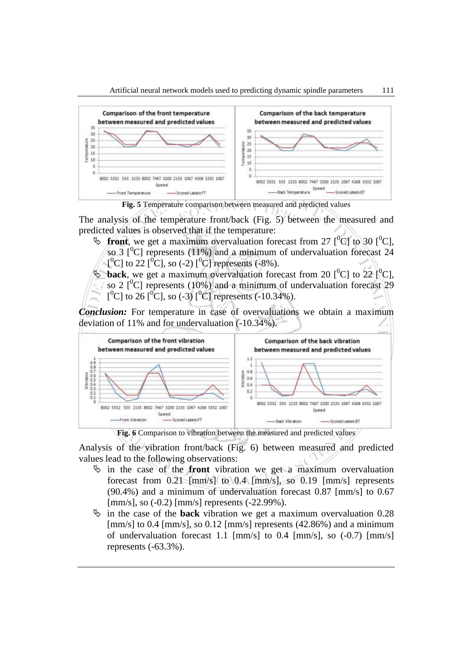

**Fig. 5** Temperature comparison between measured and predicted values

The analysis of the temperature front/back (Fig. 5) between the measured and predicted values is observed that if the temperature:

- $\psi$  front, we get a maximum overvaluation forecast from 27 [<sup>0</sup>C] to 30 [<sup>0</sup>C], so 3  $\lceil^{0}C\rceil$  represents (11%) and a minimum of undervaluation forecast 24  $[{}^{0}C]$  to 22  $[{}^{0}C]$ , so (-2)  $[{}^{0}C]$  represents (-8%).
- $\psi$  **back**, we get a maximum overvaluation forecast from 20  $[{}^{0}C]$  to 22  $[{}^{0}C]$ . so 2  $[{}^{0}C]$  represents (10%) and a minimum of undervaluation forecast 29 [<sup>0</sup>C] to 26 [<sup>0</sup>C], so (-3) [<sup>0</sup>C] represents (-10.34%).

*Conclusion:* For temperature in case of overvaluations we obtain a maximum deviation of 11% and for undervaluation (-10.34%).



**Fig. 6** Comparison to vibration between the measured and predicted values

Analysis of the vibration front/back (Fig. 6) between measured and predicted values lead to the following observations:

- $\psi$  in the case of the **front** vibration we get a maximum overvaluation forecast from 0.21 [mm/s] to 0.4 [mm/s], so 0.19 [mm/s] represents (90.4%) and a minimum of undervaluation forecast 0.87 [mm/s] to 0.67 [mm/s], so (-0.2) [mm/s] represents (-22.99%).
- $\ddot{\phi}$  in the case of the **back** vibration we get a maximum overvaluation 0.28 [mm/s] to 0.4 [mm/s], so 0.12 [mm/s] represents (42.86%) and a minimum of undervaluation forecast 1.1 [mm/s] to 0.4 [mm/s], so (-0.7) [mm/s] represents (-63.3%).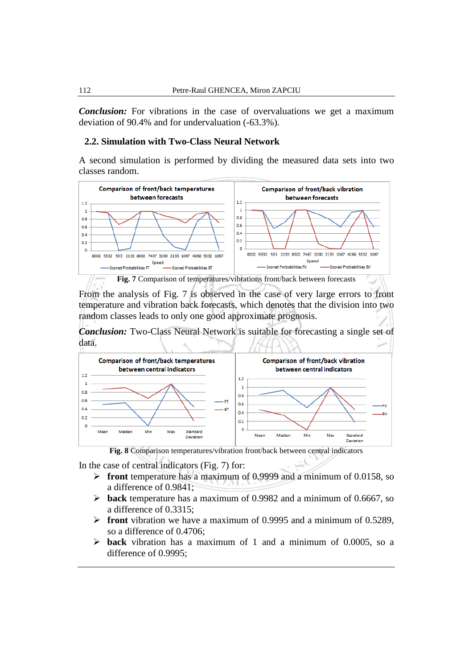*Conclusion:* For vibrations in the case of overvaluations we get a maximum deviation of 90.4% and for undervaluation (-63.3%).

#### **2.2. Simulation with Two-Class Neural Network**

A second simulation is performed by dividing the measured data sets into two classes random.



From the analysis of Fig. 7 is observed in the case of very large errors to front temperature and vibration back forecasts, which denotes that the division into two random classes leads to only one good approximate prognosis.

*Conclusion:* Two-Class Neural Network is suitable for forecasting a single set of data.



**Fig. 8** Comparison temperatures/vibration front/back between central indicators

In the case of central indicators (Fig. 7) for:

- **front** temperature has a maximum of 0.9999 and a minimum of 0.0158, so a difference of 0.9841;
- **back** temperature has a maximum of 0.9982 and a minimum of 0.6667, so a difference of 0.3315;
- **front** vibration we have a maximum of 0.9995 and a minimum of 0.5289, so a difference of 0.4706;
- **back** vibration has a maximum of 1 and a minimum of 0.0005, so a difference of 0.9995;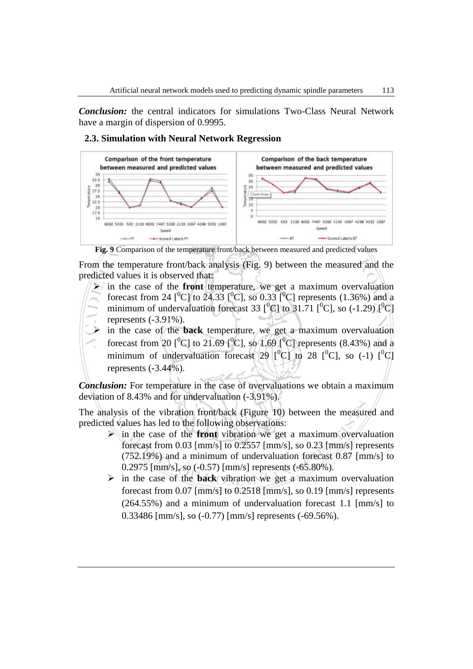*Conclusion:* the central indicators for simulations Two-Class Neural Network have a margin of dispersion of 0.9995.



#### **2.3. Simulation with Neural Network Regression**



From the temperature front/back analysis (Fig. 9) between the measured and the predicted values it is observed that:

- $\triangleright$  in the case of the **front** temperature, we get a maximum overvaluation forecast from 24  $[°C]$  to 24.33  $[°C]$ , so 0.33  $[°C]$  represents (1.36%) and a minimum of undervaluation forecast 33  $\lbrack ^{0}C \rbrack$  to 31.71  $\lbrack ^{0}C \rbrack$ , so (-1.29)  $\lbrack ^{0}C \rbrack$ represents (-3.91%).
- in the case of the **back** temperature, we get a maximum overvaluation forecast from 20  $\lbrack \begin{array}{c} ^{0}C \end{array} \rbrack$  to 21.69  $\lbrack \begin{array}{c} ^{0}C \end{array} \rbrack$ , so 1.69  $\lbrack \begin{array}{c} ^{0}C \end{array} \rbrack$  represents (8.43%) and a minimum of undervaluation forecast 29  $\lceil^{0}C \rceil$  to 28  $\lceil^{0}C \rceil$ , so (-1)  $\lceil^{0}C \rceil$ represents  $(-3.44\%)$ .

*Conclusion:* For temperature in the case of overvaluations we obtain a maximum deviation of 8.43% and for undervaluation (-3.91%).

The analysis of the vibration front/back (Figure 10) between the measured and predicted values has led to the following observations:

- in the case of the **front** vibration we get a maximum overvaluation forecast from 0.03 [mm/s] to 0.2557 [mm/s], so 0.23 [mm/s] represents (752.19%) and a minimum of undervaluation forecast 0.87 [mm/s] to 0.2975 [mm/s], so (-0.57) [mm/s] represents (-65.80%).
- $\triangleright$  in the case of the **back** vibration we get a maximum overvaluation forecast from 0.07 [mm/s] to 0.2518 [mm/s], so 0.19 [mm/s] represents (264.55%) and a minimum of undervaluation forecast 1.1 [mm/s] to 0.33486 [mm/s], so (-0.77) [mm/s] represents (-69.56%).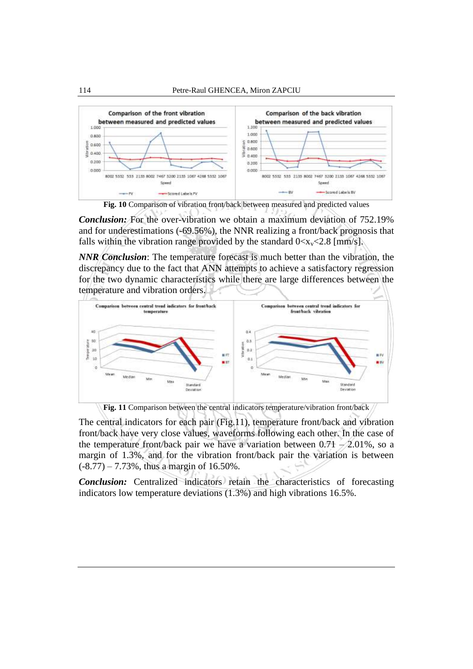

**Fig. 10** Comparison of vibration front/back between measured and predicted values

*Conclusion:* For the over-vibration we obtain a maximum deviation of 752.19% and for underestimations (-69.56%), the NNR realizing a front/back prognosis that falls within the vibration range provided by the standard  $0 < x_v < 2.8$  [mm/s].

*NNR Conclusion*: The temperature forecast is much better than the vibration, the discrepancy due to the fact that ANN attempts to achieve a satisfactory regression for the two dynamic characteristics while there are large differences between the temperature and vibration orders.





The central indicators for each pair (Fig.11), temperature front/back and vibration front/back have very close values, waveforms following each other. In the case of the temperature front/back pair we have a variation between  $0.71 - 2.01\%$ , so a margin of 1.3%, and for the vibration front/back pair the variation is between (-8.77) – 7.73%, thus a margin of 16.50%.

*Conclusion:* Centralized indicators retain the characteristics of forecasting indicators low temperature deviations (1.3%) and high vibrations 16.5%.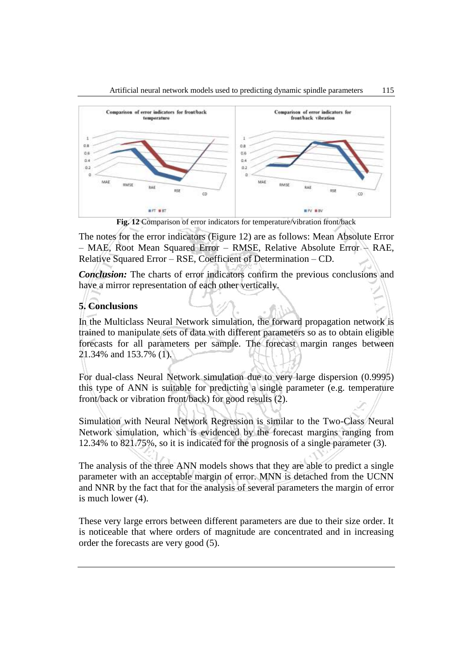



**Fig. 12** Comparison of error indicators for temperature/vibration front/back

The notes for the error indicators (Figure 12) are as follows: Mean Absolute Error – MAE, Root Mean Squared Error – RMSE, Relative Absolute Error – RAE, Relative Squared Error – RSE, Coefficient of Determination – CD.

*Conclusion:* The charts of error indicators confirm the previous conclusions and have a mirror representation of each other vertically.

# **5. Conclusions**

In the Multiclass Neural Network simulation, the forward propagation network is trained to manipulate sets of data with different parameters so as to obtain eligible forecasts for all parameters per sample. The forecast margin ranges between 21.34% and 153.7% (1).

For dual-class Neural Network simulation due to very large dispersion (0.9995) this type of ANN is suitable for predicting a single parameter (e.g. temperature front/back or vibration front/back) for good results (2).

Simulation with Neural Network Regression is similar to the Two-Class Neural Network simulation, which is evidenced by the forecast margins ranging from 12.34% to 821.75%, so it is indicated for the prognosis of a single parameter (3).

The analysis of the three ANN models shows that they are able to predict a single parameter with an acceptable margin of error. MNN is detached from the UCNN and NNR by the fact that for the analysis of several parameters the margin of error is much lower (4).

These very large errors between different parameters are due to their size order. It is noticeable that where orders of magnitude are concentrated and in increasing order the forecasts are very good (5).